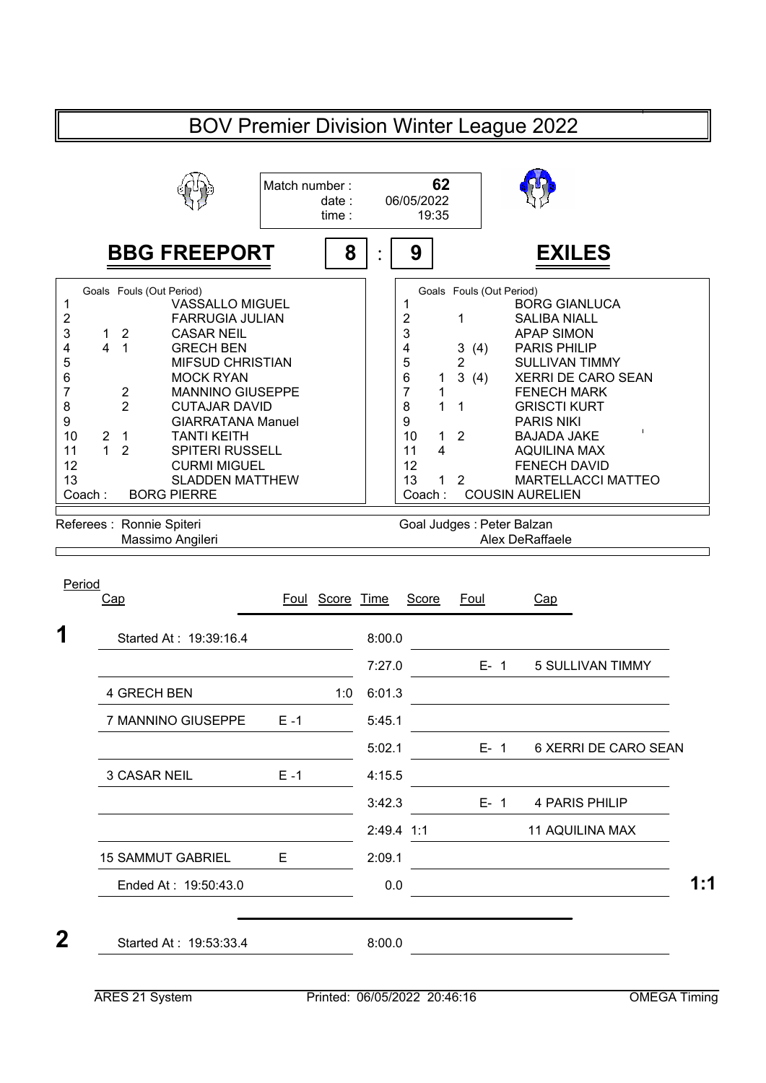|                                                                                | <b>BOV Premier Division Winter League 2022</b>                                                                                                                                                                                                                                                                                                                                                                                                                                                                                                                     |               |                |                  |                                                                                                      |                                                                                                                                                                                                                                                                                                                                                                                                                                                                                                                                      |      |         |                         |     |
|--------------------------------------------------------------------------------|--------------------------------------------------------------------------------------------------------------------------------------------------------------------------------------------------------------------------------------------------------------------------------------------------------------------------------------------------------------------------------------------------------------------------------------------------------------------------------------------------------------------------------------------------------------------|---------------|----------------|------------------|------------------------------------------------------------------------------------------------------|--------------------------------------------------------------------------------------------------------------------------------------------------------------------------------------------------------------------------------------------------------------------------------------------------------------------------------------------------------------------------------------------------------------------------------------------------------------------------------------------------------------------------------------|------|---------|-------------------------|-----|
|                                                                                |                                                                                                                                                                                                                                                                                                                                                                                                                                                                                                                                                                    | Match number: | date:<br>time: |                  | 06/05/2022                                                                                           | 62<br>19:35                                                                                                                                                                                                                                                                                                                                                                                                                                                                                                                          |      |         |                         |     |
|                                                                                | <b>BBG FREEPORT</b>                                                                                                                                                                                                                                                                                                                                                                                                                                                                                                                                                |               | 8              |                  | 9                                                                                                    |                                                                                                                                                                                                                                                                                                                                                                                                                                                                                                                                      |      |         | <b>EXILES</b>           |     |
| 1<br>2<br>3<br>4<br>5<br>6<br>$\overline{7}$<br>8<br>9<br>10<br>11<br>12<br>13 | Goals Fouls (Out Period)<br><b>VASSALLO MIGUEL</b><br><b>FARRUGIA JULIAN</b><br><b>CASAR NEIL</b><br>$\overline{2}$<br>1.<br>4<br>1<br><b>GRECH BEN</b><br><b>MIFSUD CHRISTIAN</b><br><b>MOCK RYAN</b><br><b>MANNINO GIUSEPPE</b><br>2<br>$\overline{2}$<br><b>CUTAJAR DAVID</b><br><b>GIARRATANA Manuel</b><br><b>TANTI KEITH</b><br>$\overline{c}$<br>$\mathbf{1}$<br>$\mathbf{1}$<br>$\overline{2}$<br><b>SPITERI RUSSELL</b><br><b>CURMI MIGUEL</b><br><b>SLADDEN MATTHEW</b><br>Coach:<br><b>BORG PIERRE</b><br>Referees : Ronnie Spiteri<br>Massimo Angileri |               |                |                  | 1<br>$\overline{\mathbf{c}}$<br>3<br>4<br>5<br>6<br>$\overline{7}$<br>8<br>9<br>10<br>11<br>12<br>13 | Goals Fouls (Out Period)<br><b>BORG GIANLUCA</b><br>1<br><b>SALIBA NIALL</b><br><b>APAP SIMON</b><br>3<br><b>PARIS PHILIP</b><br>(4)<br>2<br><b>SULLIVAN TIMMY</b><br>3(4)<br><b>XERRI DE CARO SEAN</b><br>1<br>1<br><b>FENECH MARK</b><br>$\mathbf{1}$<br><b>GRISCTI KURT</b><br>1<br><b>PARIS NIKI</b><br>$\overline{2}$<br><b>BAJADA JAKE</b><br>1<br>4<br><b>AQUILINA MAX</b><br><b>FENECH DAVID</b><br>1<br>2<br><b>MARTELLACCI MATTEO</b><br>Coach:<br><b>COUSIN AURELIEN</b><br>Goal Judges : Peter Balzan<br>Alex DeRaffaele |      |         |                         |     |
| Period                                                                         | Cap                                                                                                                                                                                                                                                                                                                                                                                                                                                                                                                                                                | Foul          | Score Time     |                  | Score                                                                                                |                                                                                                                                                                                                                                                                                                                                                                                                                                                                                                                                      | Foul |         | Cap                     |     |
| 1                                                                              | Started At: 19:39:16.4                                                                                                                                                                                                                                                                                                                                                                                                                                                                                                                                             |               |                | 8:00.0           |                                                                                                      |                                                                                                                                                                                                                                                                                                                                                                                                                                                                                                                                      |      |         |                         |     |
|                                                                                |                                                                                                                                                                                                                                                                                                                                                                                                                                                                                                                                                                    |               |                | 7:27.0           |                                                                                                      |                                                                                                                                                                                                                                                                                                                                                                                                                                                                                                                                      |      | $E - 1$ | <b>5 SULLIVAN TIMMY</b> |     |
|                                                                                | 4 GRECH BEN                                                                                                                                                                                                                                                                                                                                                                                                                                                                                                                                                        |               | 1:0            | 6:01.3           |                                                                                                      |                                                                                                                                                                                                                                                                                                                                                                                                                                                                                                                                      |      |         |                         |     |
|                                                                                | 7 MANNINO GIUSEPPE                                                                                                                                                                                                                                                                                                                                                                                                                                                                                                                                                 | $E - 1$       |                | 5:45.1           |                                                                                                      |                                                                                                                                                                                                                                                                                                                                                                                                                                                                                                                                      |      |         |                         |     |
|                                                                                |                                                                                                                                                                                                                                                                                                                                                                                                                                                                                                                                                                    |               |                | 5:02.1           |                                                                                                      |                                                                                                                                                                                                                                                                                                                                                                                                                                                                                                                                      |      | $E - 1$ | 6 XERRI DE CARO SEAN    |     |
|                                                                                | 3 CASAR NEIL                                                                                                                                                                                                                                                                                                                                                                                                                                                                                                                                                       | $E - 1$       |                | 4:15.5<br>3:42.3 |                                                                                                      |                                                                                                                                                                                                                                                                                                                                                                                                                                                                                                                                      |      | $E - 1$ | 4 PARIS PHILIP          |     |
|                                                                                |                                                                                                                                                                                                                                                                                                                                                                                                                                                                                                                                                                    |               |                |                  | $2:49.4$ 1:1                                                                                         |                                                                                                                                                                                                                                                                                                                                                                                                                                                                                                                                      |      |         | <b>11 AQUILINA MAX</b>  |     |
|                                                                                | <b>15 SAMMUT GABRIEL</b>                                                                                                                                                                                                                                                                                                                                                                                                                                                                                                                                           | E.            |                | 2:09.1           |                                                                                                      |                                                                                                                                                                                                                                                                                                                                                                                                                                                                                                                                      |      |         |                         |     |
|                                                                                | Ended At: 19:50:43.0                                                                                                                                                                                                                                                                                                                                                                                                                                                                                                                                               |               |                | 0.0              |                                                                                                      |                                                                                                                                                                                                                                                                                                                                                                                                                                                                                                                                      |      |         |                         | 1:1 |
| $\mathbf 2$                                                                    | Started At: 19:53:33.4                                                                                                                                                                                                                                                                                                                                                                                                                                                                                                                                             |               |                | 8:00.0           |                                                                                                      |                                                                                                                                                                                                                                                                                                                                                                                                                                                                                                                                      |      |         |                         |     |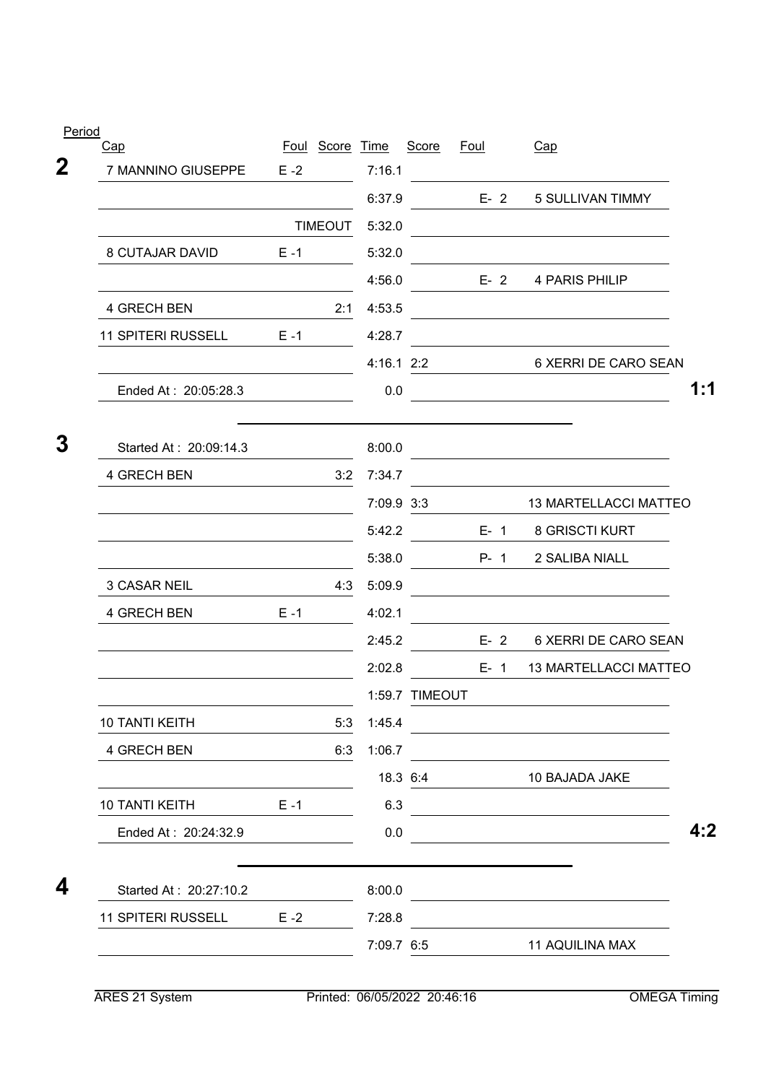| Period      |                           |         |                 |            |                |             |         |                                                     |     |
|-------------|---------------------------|---------|-----------------|------------|----------------|-------------|---------|-----------------------------------------------------|-----|
|             | <u>Cap</u>                |         | Foul Score Time |            | Score          | <u>Foul</u> |         | Cap                                                 |     |
| $\mathbf 2$ | 7 MANNINO GIUSEPPE        | $E - 2$ |                 | 7:16.1     |                |             |         |                                                     |     |
|             |                           |         |                 | 6:37.9     |                | $E - 2$     |         | 5 SULLIVAN TIMMY                                    |     |
|             |                           |         | <b>TIMEOUT</b>  | 5:32.0     |                |             |         |                                                     |     |
|             | 8 CUTAJAR DAVID           | $E - 1$ |                 | 5:32.0     |                |             |         |                                                     |     |
|             |                           |         |                 | 4:56.0     |                |             |         | E- 2 4 PARIS PHILIP                                 |     |
|             | 4 GRECH BEN               |         | 2:1             | 4:53.5     |                |             |         |                                                     |     |
|             | <b>11 SPITERI RUSSELL</b> | $E - 1$ |                 | 4:28.7     |                |             |         |                                                     |     |
|             |                           |         |                 | 4:16.1 2:2 |                |             |         | 6 XERRI DE CARO SEAN                                |     |
|             | Ended At: 20:05:28.3      |         |                 | 0.0        |                |             |         |                                                     | 1:1 |
| 3           | Started At: 20:09:14.3    |         |                 | 8:00.0     |                |             |         |                                                     |     |
|             | 4 GRECH BEN               |         | 3:2             | 7:34.7     |                |             |         |                                                     |     |
|             |                           |         |                 | 7:09.9 3:3 |                |             |         | <b>13 MARTELLACCI MATTEO</b>                        |     |
|             |                           |         |                 | 5:42.2     |                |             |         | E- 1 8 GRISCTI KURT                                 |     |
|             |                           |         |                 | 5:38.0     |                |             | $P - 1$ | 2 SALIBA NIALL                                      |     |
|             | 3 CASAR NEIL              |         | 4:3             | 5:09.9     |                |             |         |                                                     |     |
|             | 4 GRECH BEN               | $E - 1$ |                 | 4:02.1     |                |             |         |                                                     |     |
|             |                           |         |                 | 2:45.2     |                | $E - 2$     |         | 6 XERRI DE CARO SEAN                                |     |
|             |                           |         |                 | 2:02.8     |                | $E - 1$     |         | <b>13 MARTELLACCI MATTEO</b>                        |     |
|             |                           |         |                 |            | 1:59.7 TIMEOUT |             |         |                                                     |     |
|             | 10 TANTI KEITH            |         | 5:3             | 1:45.4     |                |             |         |                                                     |     |
|             | 4 GRECH BEN               |         | 6:3             | 1:06.7     |                |             |         |                                                     |     |
|             |                           |         |                 |            | 18.3 6:4       |             |         | 10 BAJADA JAKE                                      |     |
|             | 10 TANTI KEITH            | $E - 1$ |                 | 6.3        |                |             |         | <u> 1980 - Johann Barbara, martxa alemaniar arg</u> |     |
|             | Ended At: 20:24:32.9      |         |                 | 0.0        |                |             |         |                                                     | 4:2 |
| 4           | Started At: 20:27:10.2    |         |                 | 8:00.0     |                |             |         |                                                     |     |
|             | <b>11 SPITERI RUSSELL</b> | $E - 2$ |                 | 7:28.8     |                |             |         |                                                     |     |
|             |                           |         |                 | 7:09.7 6:5 |                |             |         | 11 AQUILINA MAX                                     |     |
|             |                           |         |                 |            |                |             |         |                                                     |     |